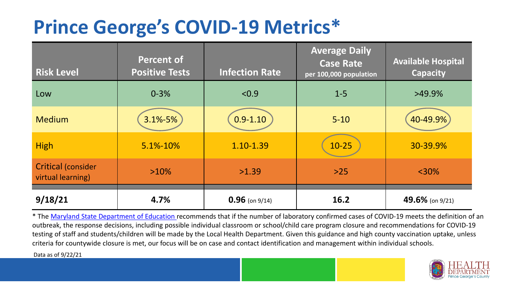## **Prince George's COVID-19 Metrics\***

| <b>Risk Level</b>                       | <b>Percent of</b><br><b>Positive Tests</b> | <b>Infection Rate</b> | <b>Average Daily</b><br><b>Case Rate</b><br>per 100,000 population | <b>Available Hospital</b><br><b>Capacity</b> |
|-----------------------------------------|--------------------------------------------|-----------------------|--------------------------------------------------------------------|----------------------------------------------|
| Low                                     | $0 - 3%$                                   | < 0.9                 | $1 - 5$                                                            | $>49.9\%$                                    |
| <b>Medium</b>                           | $3.1\% - 5\%$                              | $0.9 - 1.10$          | $5 - 10$                                                           | 40-49.9%                                     |
| <b>High</b>                             | 5.1%-10%                                   | 1.10-1.39             | $10 - 25$                                                          | 30-39.9%                                     |
| Critical (consider<br>virtual learning) | $>10\%$                                    | >1.39                 | $>25$                                                              | $<$ 30%                                      |
| 9/18/21                                 | 4.7%                                       | $0.96$ (on 9/14)      | 16.2                                                               | 49.6% (on 9/21)                              |

\* The [Maryland State Department of Education r](https://earlychildhood.marylandpublicschools.org/system/files/filedepot/3/covid_guidance_full_080420.pdf)ecommends that if the number of laboratory confirmed cases of COVID-19 meets the definition of an outbreak, the response decisions, including possible individual classroom or school/child care program closure and recommendations for COVID-19 testing of staff and students/children will be made by the Local Health Department. Given this guidance and high county vaccination uptake, unless criteria for countywide closure is met, our focus will be on case and contact identification and management within individual schools.

Data as of 9/22/21

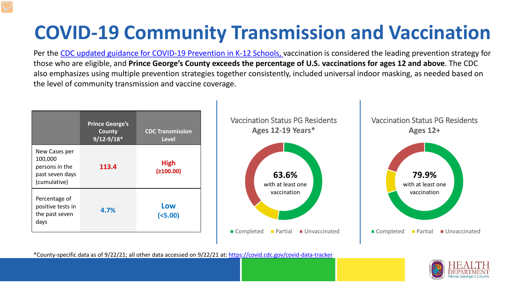# **COVID-19 Community Transmission and Vaccination**

Per the [CDC updated guidance for COVID-19 Prevention in K-12 Schools,](https://www.cdc.gov/coronavirus/2019-ncov/community/schools-childcare/k-12-guidance.html) vaccination is considered the leading prevention strategy for those who are eligible, and **Prince George's County exceeds the percentage of U.S. vaccinations for ages 12 and above**. The CDC also emphasizes using multiple prevention strategies together consistently, included universal indoor masking, as needed based on the level of community transmission and vaccine coverage.



\*County-specific data as of 9/22/21; all other data accessed on 9/22/21 at:<https://covid.cdc.gov/covid-data-tracker>

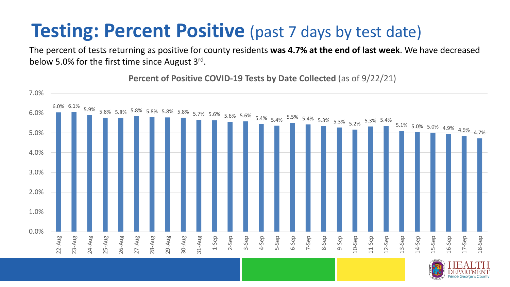#### **Testing: Percent Positive** (past 7 days by test date)

The percent of tests returning as positive for county residents **was 4.7% at the end of last week**. We have decreased below 5.0% for the first time since August 3rd.

**Percent of Positive COVID-19 Tests by Date Collected** (as of 9/22/21)

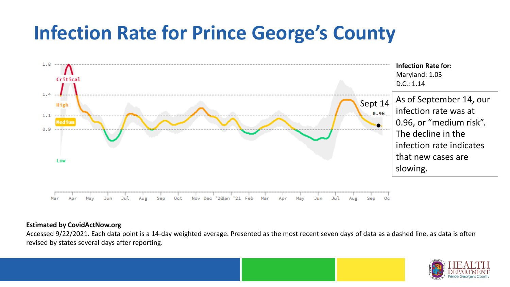### **Infection Rate for Prince George's County**



#### **Estimated by CovidActNow.org**

Accessed 9/22/2021. Each data point is a 14-day weighted average. Presented as the most recent seven days of data as a dashed line, as data is often revised by states several days after reporting.

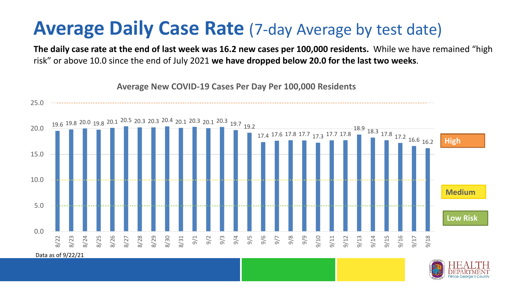#### **Average Daily Case Rate** (7-day Average by test date)

**The daily case rate at the end of last week was 16.2 new cases per 100,000 residents.** While we have remained "high risk" or above 10.0 since the end of July 2021 **we have dropped below 20.0 for the last two weeks**.



**Average New COVID-19 Cases Per Day Per 100,000 Residents**